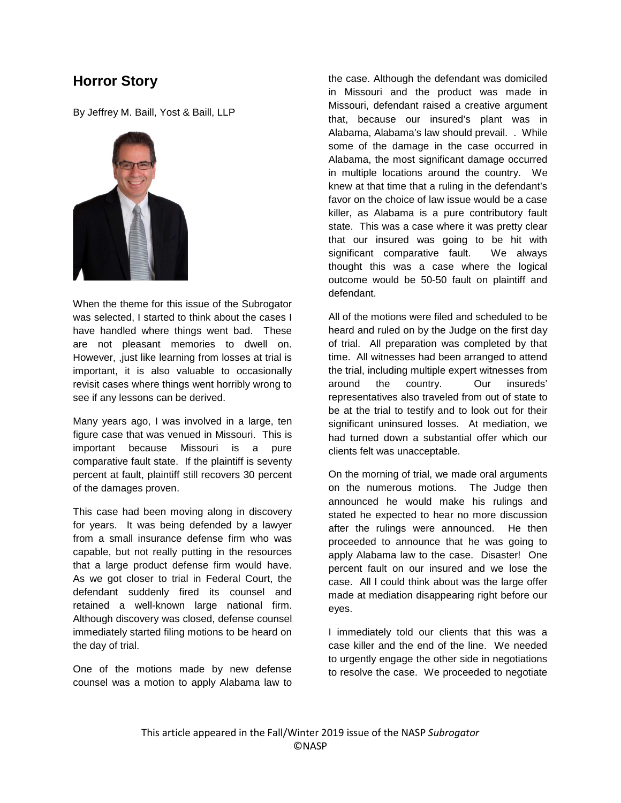## **Horror Story**

By Jeffrey M. Baill, Yost & Baill, LLP



When the theme for this issue of the Subrogator was selected, I started to think about the cases I have handled where things went bad. These are not pleasant memories to dwell on. However, ,just like learning from losses at trial is important, it is also valuable to occasionally revisit cases where things went horribly wrong to see if any lessons can be derived.

Many years ago, I was involved in a large, ten figure case that was venued in Missouri. This is important because Missouri is a pure comparative fault state. If the plaintiff is seventy percent at fault, plaintiff still recovers 30 percent of the damages proven.

This case had been moving along in discovery for years. It was being defended by a lawyer from a small insurance defense firm who was capable, but not really putting in the resources that a large product defense firm would have. As we got closer to trial in Federal Court, the defendant suddenly fired its counsel and retained a well-known large national firm. Although discovery was closed, defense counsel immediately started filing motions to be heard on the day of trial.

One of the motions made by new defense counsel was a motion to apply Alabama law to

the case. Although the defendant was domiciled in Missouri and the product was made in Missouri, defendant raised a creative argument that, because our insured's plant was in Alabama, Alabama's law should prevail. . While some of the damage in the case occurred in Alabama, the most significant damage occurred in multiple locations around the country. We knew at that time that a ruling in the defendant's favor on the choice of law issue would be a case killer, as Alabama is a pure contributory fault state. This was a case where it was pretty clear that our insured was going to be hit with significant comparative fault. We always thought this was a case where the logical outcome would be 50-50 fault on plaintiff and defendant.

All of the motions were filed and scheduled to be heard and ruled on by the Judge on the first day of trial. All preparation was completed by that time. All witnesses had been arranged to attend the trial, including multiple expert witnesses from around the country. Our insureds' representatives also traveled from out of state to be at the trial to testify and to look out for their significant uninsured losses. At mediation, we had turned down a substantial offer which our clients felt was unacceptable.

On the morning of trial, we made oral arguments on the numerous motions. The Judge then announced he would make his rulings and stated he expected to hear no more discussion after the rulings were announced. He then proceeded to announce that he was going to apply Alabama law to the case. Disaster! One percent fault on our insured and we lose the case. All I could think about was the large offer made at mediation disappearing right before our eyes.

I immediately told our clients that this was a case killer and the end of the line. We needed to urgently engage the other side in negotiations to resolve the case. We proceeded to negotiate